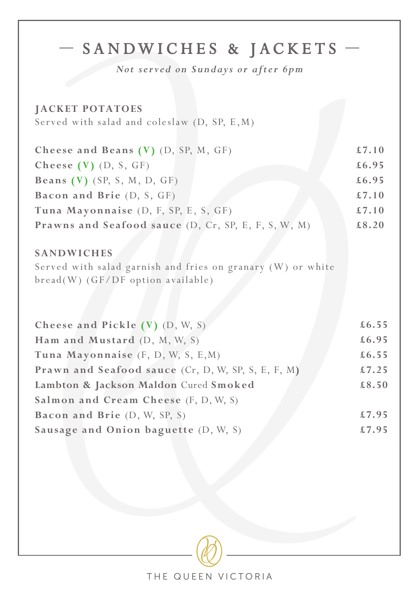| - SANDWICHES & JACKETS<br>Not served on Sundays or after 6pm<br><b>JACKET POTATOES</b><br>Served with salad and coleslaw (D, SP, E, M) |       |
|----------------------------------------------------------------------------------------------------------------------------------------|-------|
| Cheese and Beans (V) (D, SP, M, GF)                                                                                                    | £7.10 |
| Cheese $(V)$ $(D, S, GF)$                                                                                                              | £6.95 |
| Beans $(V)$ (SP, S, M, D, GF)                                                                                                          | £6.95 |
| Bacon and Brie (D, S, GF)                                                                                                              | £7.10 |
| Tuna Mayonnaise (D, F, SP, E, S, GF)                                                                                                   | £7.10 |
| Prawns and Seafood sauce (D, Cr, SP, E, F, S, W, M)                                                                                    | £8.20 |
| <b>SANDWICHES</b><br>Served with salad garnish and fries on granary (W) or white<br>bread(W) (GF/DF option available)                  |       |
| Cheese and Pickle (V) (D, W, S)                                                                                                        | £6.55 |
| Ham and Mustard (D, M, W, S)                                                                                                           | £6.95 |
| Tuna Mayonnaise (F, D, W, S, E, M)                                                                                                     | £6.55 |
| Prawn and Seafood sauce (Cr, D, W, SP, S, E, F, M)                                                                                     | £7.25 |
| Lambton & Jackson Maldon Cured Smoked                                                                                                  | £8.50 |
| Salmon and Cream Cheese (F, D, W, S)                                                                                                   |       |
| Bacon and Brie (D, W, SP, S)                                                                                                           | £7.95 |
| Sausage and Onion baguette (D, W, S)                                                                                                   | £7.95 |
|                                                                                                                                        |       |

THE QUEEN VICTORIA